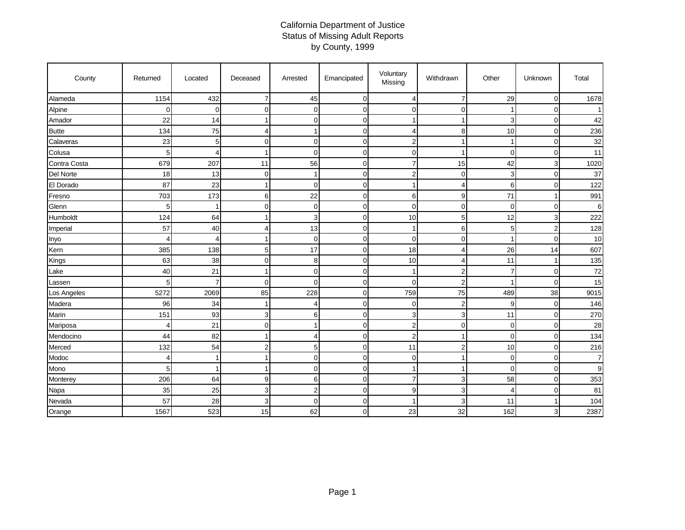## California Department of Justice Status of Missing Adult Reports by County, 1999

| County       | Returned    | Located  | Deceased       | Arrested       | Emancipated | Voluntary<br>Missing | Withdrawn      | Other          | Unknown        | Total          |
|--------------|-------------|----------|----------------|----------------|-------------|----------------------|----------------|----------------|----------------|----------------|
| Alameda      | 1154        | 432      | $\overline{7}$ | 45             | 0           | 4                    | 7              | 29             | $\mathbf 0$    | 1678           |
| Alpine       | $\mathbf 0$ | $\Omega$ | $\Omega$       | 0              | 0           | $\mathbf 0$          | $\Omega$       |                | 0              |                |
| Amador       | 22          | 14       |                | $\Omega$       | 0           | 1                    |                | 3              | $\mathbf 0$    | 42             |
| <b>Butte</b> | 134         | 75       | 4              |                | $\mathbf 0$ | 4                    | 8              | 10             | $\mathbf 0$    | 236            |
| Calaveras    | 23          | 5        | $\Omega$       | 0              | $\mathbf 0$ | $\overline{2}$       |                | 1              | $\mathbf 0$    | 32             |
| Colusa       | 5           | 4        |                | 0              | 0           | 0                    |                | $\overline{0}$ | 0              | 11             |
| Contra Costa | 679         | 207      | 11             | 56             | $\mathbf 0$ | $\overline{7}$       | 15             | 42             | 3              | 1020           |
| Del Norte    | 18          | 13       | $\Omega$       |                | $\mathbf 0$ | $\overline{2}$       | $\Omega$       | 3              | $\mathbf 0$    | 37             |
| El Dorado    | 87          | 23       |                | $\Omega$       | 0           |                      | 4              | 6              | $\mathbf 0$    | 122            |
| Fresno       | 703         | 173      | 6              | 22             | $\mathbf 0$ | 6                    | g              | 71             | 1              | 991            |
| Glenn        | 5           | 1        | $\Omega$       | 0              | $\mathbf 0$ | $\mathbf 0$          | $\Omega$       | $\Omega$       | $\mathbf 0$    | 6              |
| Humboldt     | 124         | 64       |                | 3              | 0           | 10                   | 5              | 12             | 3              | 222            |
| Imperial     | 57          | 40       | 4              | 13             | 0           | 1                    | 6              | 5              | $\overline{2}$ | 128            |
| Inyo         | 4           | 4        |                | $\mathbf 0$    | 0           | $\mathbf 0$          | $\Omega$       | ٠              | $\mathbf 0$    | 10             |
| Kern         | 385         | 138      | 5 <sub>l</sub> | 17             | $\mathbf 0$ | 18                   | ◢              | 26             | 14             | 607            |
| Kings        | 63          | 38       | $\Omega$       | 8              | $\mathbf 0$ | 10                   | 4              | 11             | 1              | 135            |
| Lake         | 40          | 21       |                | $\Omega$       | $\mathbf 0$ | -1                   | $\overline{2}$ | 7              | 0              | 72             |
| Lassen       | 5           | 7        | $\Omega$       | $\Omega$       | $\mathbf 0$ | $\Omega$             | $\overline{2}$ |                | $\Omega$       | 15             |
| Los Angeles  | 5272        | 2069     | 85             | 228            | 0           | 759                  | 75             | 489            | 38             | 9015           |
| Madera       | 96          | 34       |                | 4              | $\mathbf 0$ | 0                    | $\overline{2}$ | 9              | 0              | 146            |
| Marin        | 151         | 93       | 3              | 6              | $\mathbf 0$ | 3                    | 3              | 11             | $\pmb{0}$      | 270            |
| Mariposa     | 4           | 21       | $\mathbf 0$    |                | 0           | $\overline{2}$       | $\mathbf 0$    | 0              | $\mathbf 0$    | 28             |
| Mendocino    | 44          | 82       |                | 4              | $\mathbf 0$ | $\overline{2}$       |                | 0              | $\mathbf 0$    | 134            |
| Merced       | 132         | 54       | $\overline{2}$ | 5              | $\mathbf 0$ | 11                   | $\overline{c}$ | 10             | $\mathbf 0$    | 216            |
| Modoc        | 4           | 1        |                | $\Omega$       | $\mathbf 0$ | $\mathbf 0$          |                | 0              | $\mathbf 0$    | $\overline{7}$ |
| Mono         | 5           | 1        |                | 0              | $\mathbf 0$ | -1                   |                | 0              | 0              | 9              |
| Monterey     | 206         | 64       | 9              | 6              | $\mathbf 0$ | $\overline{7}$       | 3              | 58             | $\Omega$       | 353            |
| Napa         | 35          | 25       | 3              | $\overline{2}$ | $\mathbf 0$ | 9                    | 3              | 4              | 0              | 81             |
| Nevada       | 57          | 28       | 3              | $\Omega$       | $\mathbf 0$ |                      | 3              | 11             | -1             | 104            |
| Orange       | 1567        | 523      | 15             | 62             | 0           | 23                   | 32             | 162            | 3              | 2387           |